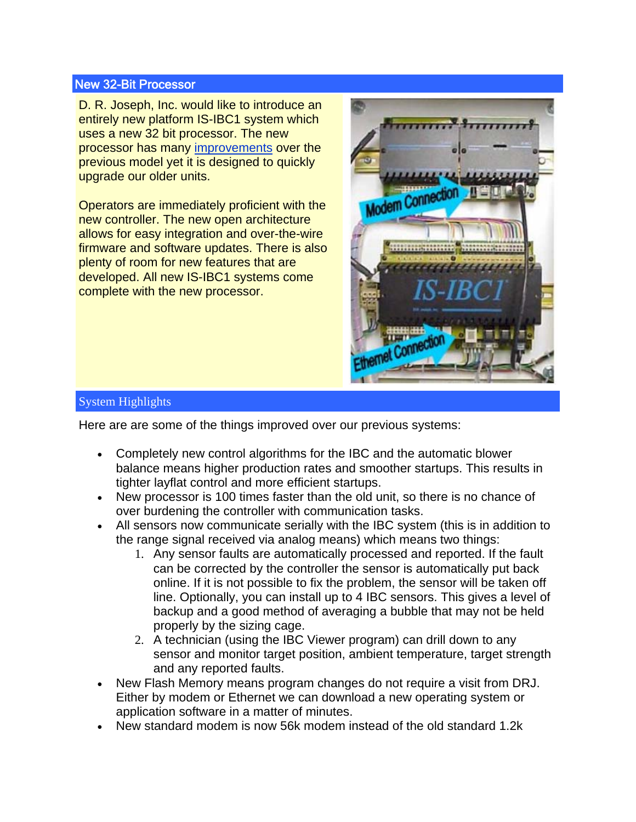## New 32-Bit Processor

D. R. Joseph, Inc. would like to introduce an entirely new platform IS-IBC1 system which uses a new 32 bit processor. The new processor has many improvements over the previous model yet it is designed to quickly upgrade our older units.

Operators are immediately proficient with the new controller. The new open architecture allows for easy integration and over-the-wire firmware and software updates. There is also plenty of room for new features that are developed. All new IS-IBC1 systems come complete with the new processor.



## System Highlights

Here are are some of the things improved over our previous systems:

- Completely new control algorithms for the IBC and the automatic blower balance means higher production rates and smoother startups. This results in tighter layflat control and more efficient startups.
- New processor is 100 times faster than the old unit, so there is no chance of over burdening the controller with communication tasks.
- All sensors now communicate serially with the IBC system (this is in addition to the range signal received via analog means) which means two things:
	- 1. Any sensor faults are automatically processed and reported. If the fault can be corrected by the controller the sensor is automatically put back online. If it is not possible to fix the problem, the sensor will be taken off line. Optionally, you can install up to 4 IBC sensors. This gives a level of backup and a good method of averaging a bubble that may not be held properly by the sizing cage.
	- 2. A technician (using the IBC Viewer program) can drill down to any sensor and monitor target position, ambient temperature, target strength and any reported faults.
- New Flash Memory means program changes do not require a visit from DRJ. Either by modem or Ethernet we can download a new operating system or application software in a matter of minutes.
- New standard modem is now 56k modem instead of the old standard 1.2k